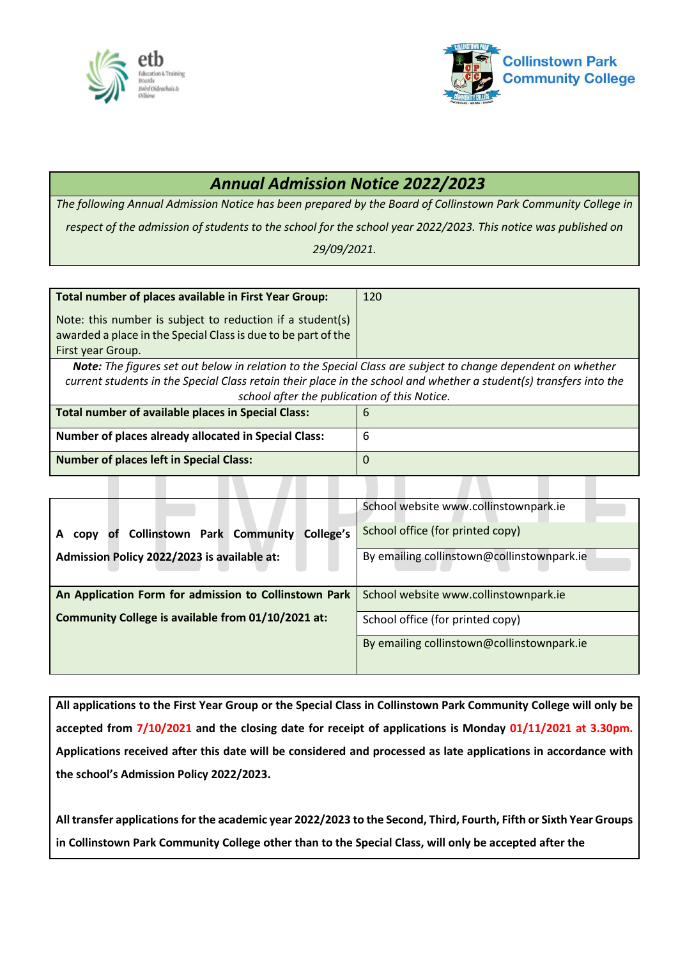



## *Annual Admission Notice 2022/2023*

*The following Annual Admission Notice has been prepared by the Board of Collinstown Park Community College in respect of the admission of students to the school for the school year 2022/2023. This notice was published on* 

*29/09/2021.*

| Total number of places available in First Year Group:                                                                                           | 120 |  |
|-------------------------------------------------------------------------------------------------------------------------------------------------|-----|--|
| Note: this number is subject to reduction if a student(s)<br>awarded a place in the Special Class is due to be part of the<br>First year Group. |     |  |
| Note: The figures set out below in relation to the Special Class are subject to change dependent on whether                                     |     |  |
| current students in the Special Class retain their place in the school and whether a student(s) transfers into the                              |     |  |
| school after the publication of this Notice.                                                                                                    |     |  |
| Total number of available places in Special Class:                                                                                              | 6   |  |
| <b>Number of places already allocated in Special Class:</b>                                                                                     | 6   |  |
| <b>Number of places left in Special Class:</b>                                                                                                  | O   |  |

|                                                           | School website www.collinstownpark.ie      |
|-----------------------------------------------------------|--------------------------------------------|
| of Collinstown Park Community<br>College's<br><b>CODV</b> | School office (for printed copy)           |
| Admission Policy 2022/2023 is available at:               | By emailing collinstown@collinstownpark.ie |
|                                                           |                                            |
| An Application Form for admission to Collinstown Park     | School website www.collinstownpark.ie      |
| Community College is available from 01/10/2021 at:        | School office (for printed copy)           |
|                                                           | By emailing collinstown@collinstownpark.ie |
|                                                           |                                            |

**All applications to the First Year Group or the Special Class in Collinstown Park Community College will only be accepted from 7/10/2021 and the closing date for receipt of applications is Monday 01/11/2021 at 3.30pm. Applications received after this date will be considered and processed as late applications in accordance with the school's Admission Policy 2022/2023.**

**All transfer applications for the academic year 2022/2023 to the Second, Third, Fourth, Fifth or Sixth Year Groups in Collinstown Park Community College other than to the Special Class, will only be accepted after the**